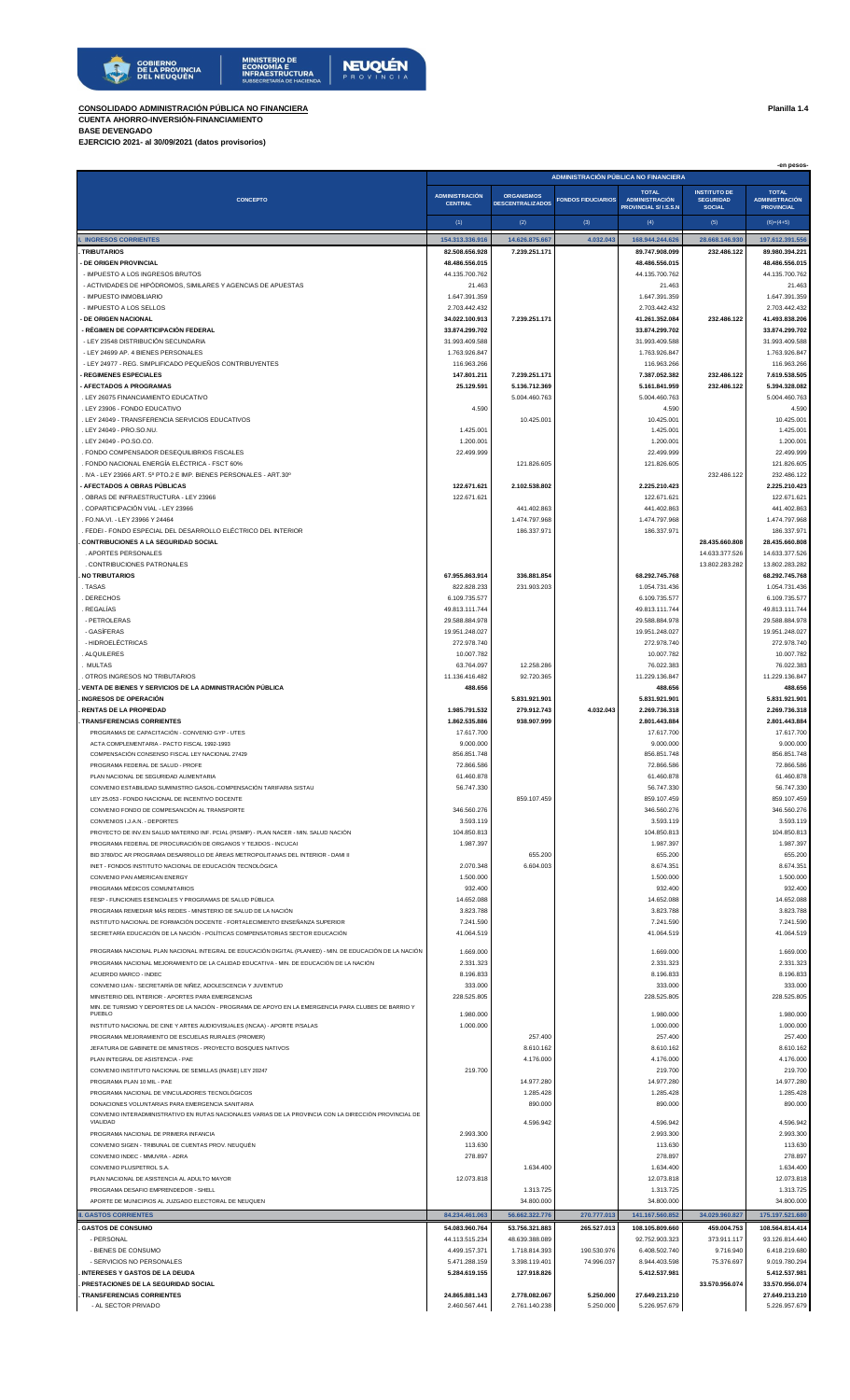

**CONSOLIDADO ADMINISTRACIÓN PÚBLICA NO FINANCIERA Planilla 1.4**

**CUENTA AHORRO-INVERSIÓN-FINANCIAMIENTO BASE DEVENGADO**

**EJERCICIO 2021- al 30/09/2021 (datos provisorios)**

|                                                                                                                                                               | -en pesos-<br>ADMINISTRACIÓN PÚBLICA NO FINANCIERA |                                  |                            |                                       |                                         |                                       |
|---------------------------------------------------------------------------------------------------------------------------------------------------------------|----------------------------------------------------|----------------------------------|----------------------------|---------------------------------------|-----------------------------------------|---------------------------------------|
| <b>CONCEPTO</b>                                                                                                                                               | <b>ADMINISTRACIÓN</b>                              | <b>ORGANISMOS</b>                | <b>FONDOS FIDUCIARIOS</b>  | <b>TOTAL</b><br><b>ADMINISTRACIÓN</b> | <b>INSTITUTO DE</b><br><b>SEGURIDAD</b> | <b>TOTAL</b><br><b>ADMINISTRACIÓN</b> |
|                                                                                                                                                               | <b>CENTRAL</b>                                     | <b>DESCENTRALIZADOS</b>          |                            | <b>PROVINCIAL S/I.S.S.N</b>           | <b>SOCIAL</b>                           | <b>PROVINCIAL</b>                     |
| <b>INGRESOS CORRIENTES</b>                                                                                                                                    | (1)<br>154.313.336.916                             | (2)<br>14.626.875.667            | (3)<br>4.032.043           | (4)<br>168.944.244.626                | (5)<br>28.668.146.930                   | $(6)=(4+5)$<br>197.612.391.556        |
| <b>TRIBUTARIOS</b>                                                                                                                                            | 82.508.656.928                                     | 7.239.251.171                    |                            | 89.747.908.099                        | 232.486.122                             | 89.980.394.221                        |
| <b>DE ORIGEN PROVINCIAL</b><br>- IMPUESTO A LOS INGRESOS BRUTOS                                                                                               | 48.486.556.015<br>44.135.700.762                   |                                  |                            | 48.486.556.015<br>44.135.700.762      |                                         | 48.486.556.015<br>44.135.700.762      |
| - ACTIVIDADES DE HIPÓDROMOS, SIMILARES Y AGENCIAS DE APUESTAS                                                                                                 | 21.463                                             |                                  |                            | 21.463                                |                                         | 21.463                                |
| - IMPUESTO INMOBILIARIO<br>- IMPUESTO A LOS SELLOS                                                                                                            | 1.647.391.359<br>2.703.442.432                     |                                  |                            | 1.647.391.359<br>2.703.442.432        |                                         | 1.647.391.359<br>2.703.442.432        |
| <b>DE ORIGEN NACIONAL</b>                                                                                                                                     | 34.022.100.913                                     | 7.239.251.171                    |                            | 41.261.352.084                        | 232.486.122                             | 41.493.838.206                        |
| · RÉGIMEN DE COPARTICIPACIÓN FEDERAL<br>- LEY 23548 DISTRIBUCIÓN SECUNDARIA                                                                                   | 33.874.299.702<br>31.993.409.588                   |                                  |                            | 33.874.299.702<br>31.993.409.588      |                                         | 33.874.299.702<br>31.993.409.588      |
| - LEY 24699 AP. 4 BIENES PERSONALES                                                                                                                           | 1.763.926.847                                      |                                  |                            | 1.763.926.847                         |                                         | 1.763.926.847                         |
| - LEY 24977 - REG. SIMPLIFICADO PEQUEÑOS CONTRIBUYENTES<br><b>REGIMENES ESPECIALES</b>                                                                        | 116.963.266<br>147.801.211                         | 7.239.251.171                    |                            | 116.963.266<br>7.387.052.382          | 232.486.122                             | 116.963.266<br>7.619.538.505          |
| · AFECTADOS A PROGRAMAS                                                                                                                                       | 25.129.591                                         | 5.136.712.369                    |                            | 5.161.841.959                         | 232.486.122                             | 5.394.328.082                         |
| . LEY 26075 FINANCIAMIENTO EDUCATIVO<br>. LEY 23906 - FONDO EDUCATIVO                                                                                         | 4.590                                              | 5.004.460.763                    |                            | 5.004.460.763<br>4.590                |                                         | 5.004.460.763<br>4.590                |
| LEY 24049 - TRANSFERENCIA SERVICIOS EDUCATIVOS                                                                                                                |                                                    | 10.425.001                       |                            | 10.425.001                            |                                         | 10.425.001                            |
| LEY 24049 - PRO.SO.NU.<br>LEY 24049 - PO.SO.CO.                                                                                                               | 1.425.001<br>1.200.001                             |                                  |                            | 1.425.001<br>1.200.001                |                                         | 1.425.001<br>1.200.001                |
| FONDO COMPENSADOR DESEQUILIBRIOS FISCALES                                                                                                                     | 22.499.999                                         |                                  |                            | 22.499.999                            |                                         | 22.499.999                            |
| . FONDO NACIONAL ENERGÍA ELÉCTRICA - FSCT 60%<br>$N_{\rm H}$ IVA - LEY 23966 ART. 5º PTO.2 E IMP. BIENES PERSONALES - ART.30º                                 |                                                    | 121.826.605                      |                            | 121.826.605                           | 232.486.122                             | 121.826.605<br>232.486.122            |
| AFECTADOS A OBRAS PUBLICAS                                                                                                                                    | 122.671.621                                        | 2.102.538.802                    |                            | 2.225.210.423                         |                                         | 2.225.210.423                         |
| OBRAS DE INFRAESTRUCTURA - LEY 23966<br>. COPARTICIPACIÓN VIAL - LEY 23966                                                                                    | 122.671.621                                        | 441.402.863                      |                            | 122.671.621<br>441.402.863            |                                         | 122.671.621<br>441.402.863            |
| FO.NA.VI. - LEY 23966 Y 24464                                                                                                                                 |                                                    | 1.474.797.968                    |                            | 1.474.797.968                         |                                         | 1.474.797.968                         |
| . FEDEI - FONDO ESPECIAL DEL DESARROLLO ELÉCTRICO DEL INTERIOR<br><b>CONTRIBUCIONES A LA SEGURIDAD SOCIAL</b>                                                 |                                                    | 186.337.971                      |                            | 186.337.971                           | 28.435.660.808                          | 186.337.971<br>28.435.660.808         |
| . APORTES PERSONALES                                                                                                                                          |                                                    |                                  |                            |                                       | 14.633.377.526                          | 14.633.377.526                        |
| . CONTRIBUCIONES PATRONALES<br><b>NO TRIBUTARIOS</b>                                                                                                          | 67.955.863.914                                     | 336.881.854                      |                            | 68.292.745.768                        | 13.802.283.282                          | 13.802.283.282<br>68.292.745.768      |
| . TASAS                                                                                                                                                       | 822.828.233                                        | 231.903.203                      |                            | 1.054.731.436                         |                                         | 1.054.731.436                         |
| <b>DERECHOS</b><br>REGALÍAS                                                                                                                                   | 6.109.735.577<br>49.813.111.744                    |                                  |                            | 6.109.735.577<br>49.813.111.744       |                                         | 6.109.735.577<br>49.813.111.744       |
| - PETROLERAS<br>- GASÍFERAS                                                                                                                                   | 29.588.884.978<br>19.951.248.027                   |                                  |                            | 29.588.884.978<br>19.951.248.027      |                                         | 29.588.884.978<br>19.951.248.027      |
| - HIDROELÉCTRICAS                                                                                                                                             | 272.978.740                                        |                                  |                            | 272.978.740                           |                                         | 272.978.740                           |
| ALQUILERES<br><b>MULTAS</b>                                                                                                                                   | 10.007.782<br>63.764.097                           | 12.258.286                       |                            | 10.007.782<br>76.022.383              |                                         | 10.007.782<br>76.022.383              |
| OTROS INGRESOS NO TRIBUTARIOS                                                                                                                                 | 11.136.416.482                                     | 92.720.365                       |                            | 11.229.136.847                        |                                         | 11.229.136.847                        |
| VENTA DE BIENES Y SERVICIOS DE LA ADMINISTRACIÓN PÚBLICA<br><b>INGRESOS DE OPERACIÓN</b>                                                                      | 488.656                                            | 5.831.921.901                    |                            | 488.656<br>5.831.921.901              |                                         | 488.656<br>5.831.921.901              |
| <b>RENTAS DE LA PROPIEDAD</b>                                                                                                                                 | 1.985.791.532                                      | 279.912.743                      | 4.032.043                  | 2.269.736.318                         |                                         | 2.269.736.318                         |
| <b>TRANSFERENCIAS CORRIENTES</b><br>PROGRAMAS DE CAPACITACIÓN - CONVENIO GYP - UTES                                                                           | 1.862.535.886<br>17.617.700                        | 938.907.999                      |                            | 2.801.443.884<br>17.617.700           |                                         | 2.801.443.884<br>17.617.700           |
| ACTA COMPLEMENTARIA - PACTO FISCAL 1992-1993                                                                                                                  | 9.000.000                                          |                                  |                            | 9.000.000                             |                                         | 9.000.000                             |
| COMPENSACIÓN CONSENSO FISCAL LEY NACIONAL 27429<br>PROGRAMA FEDERAL DE SALUD - PROFE                                                                          | 856.851.748<br>72.866.586                          |                                  |                            | 856.851.748<br>72.866.586             |                                         | 856.851.748<br>72.866.586             |
| PLAN NACIONAL DE SEGURIDAD ALIMENTARIA                                                                                                                        | 61.460.878                                         |                                  |                            | 61.460.878                            |                                         | 61.460.878                            |
| CONVENIO ESTABILIDAD SUMINISTRO GASOIL-COMPENSACIÓN TARIFARIA SISTAU<br>LEY 25.053 - FONDO NACIONAL DE INCENTIVO DOCENTE                                      | 56.747.330                                         | 859.107.459                      |                            | 56.747.330<br>859.107.459             |                                         | 56.747.330<br>859.107.459             |
| CONVENIO FONDO DE COMPESANCIÓN AL TRANSPORTE                                                                                                                  | 346.560.276                                        |                                  |                            | 346.560.276                           |                                         | 346.560.276                           |
| CONVENIOS I.J.A.N. - DEPORTES<br>PROYECTO DE INV.EN SALUD MATERNO INF. PCIAL (PISMIP) - PLAN NACER - MIN. SALUD NACIÓN                                        | 3.593.119<br>104.850.813                           |                                  |                            | 3.593.119<br>104.850.813              |                                         | 3.593.119<br>104.850.813              |
| PROGRAMA FEDERAL DE PROCURACIÓN DE ORGANOS Y TEJIDOS - INCUCAI                                                                                                | 1.987.397                                          |                                  |                            | 1.987.397                             |                                         | 1.987.397                             |
| BID 3780/OC AR PROGRAMA DESARROLLO DE ÁREAS METROPOLITANAS DEL INTERIOR - DAMI II<br>INET - FONDOS INSTITUTO NACIONAL DE EDUCACIÓN TECNOLÓGICA                | 2.070.348                                          | 655.200<br>6.604.003             |                            | 655.200<br>8.674.351                  |                                         | 655.200<br>8.674.351                  |
| CONVENIO PAN AMERICAN ENERGY                                                                                                                                  | 1.500.000                                          |                                  |                            | 1.500.000                             |                                         | 1.500.000                             |
| PROGRAMA MÉDICOS COMUNITARIOS<br>FESP - FUNCIONES ESENCIALES Y PROGRAMAS DE SALUD PÚBLICA                                                                     | 932.400<br>14.652.088                              |                                  |                            | 932.400<br>14.652.088                 |                                         | 932.400<br>14.652.088                 |
| PROGRAMA REMEDIAR MÁS REDES - MINISTERIO DE SALUD DE LA NACIÓN                                                                                                | 3.823.788                                          |                                  |                            | 3.823.788                             |                                         | 3.823.788                             |
| INSTITUTO NACIONAL DE FORMACIÓN DOCENTE - FORTALECIMIENTO ENSEÑANZA SUPERIOR<br>SECRETARÍA EDUCACIÓN DE LA NACIÓN - POLÍTICAS COMPENSATORIAS SECTOR EDUCACIÓN | 7.241.590<br>41.064.519                            |                                  |                            | 7.241.590<br>41.064.519               |                                         | 7.241.590<br>41.064.519               |
| PROGRAMA NACIONAL PLAN NACIONAL INTEGRAL DE EDUCACIÓN DIGITAL (PLANIED) - MIN. DE EDUCACIÓN DE LA NACIÓN                                                      | 1.669.000                                          |                                  |                            | 1.669.000                             |                                         | 1.669.000                             |
| PROGRAMA NACIONAL MEJORAMIENTO DE LA CALIDAD EDUCATIVA - MIN. DE EDUCACIÓN DE LA NACIÓN                                                                       | 2.331.323                                          |                                  |                            | 2.331.323                             |                                         | 2.331.323                             |
| ACUERDO MARCO - INDEC<br>CONVENIO IJAN - SECRETARÍA DE NIÑEZ. ADOLESCENCIA Y JUVENTUD                                                                         | 8.196.833<br>333.000                               |                                  |                            | 8.196.833<br>333.000                  |                                         | 8.196.833<br>333.000                  |
| MINISTERIO DEL INTERIOR - APORTES PARA EMERGENCIAS<br>MIN. DE TURISMO Y DEPORTES DE LA NACIÓN - PROGRAMA DE APOYO EN LA EMERGENCIA PARA CLUBES DE BARRIO Y    | 228.525.805                                        |                                  |                            | 228.525.805                           |                                         | 228.525.805                           |
| <b>PUEBLO</b>                                                                                                                                                 | 1.980.000                                          |                                  |                            | 1.980.000                             |                                         | 1.980.000                             |
| INSTITUTO NACIONAL DE CINE Y ARTES AUDIOVISUALES (INCAA) - APORTE P/SALAS<br>PROGRAMA MEJORAMIENTO DE ESCUELAS RURALES (PROMER)                               | 1.000.000                                          | 257.400                          |                            | 1.000.000<br>257.400                  |                                         | 1.000.000<br>257.400                  |
| JEFATURA DE GABINETE DE MINISTROS - PROYECTO BOSQUES NATIVOS                                                                                                  |                                                    | 8.610.162                        |                            | 8.610.162                             |                                         | 8.610.162                             |
| PLAN INTEGRAL DE ASISTENCIA - PAE<br>CONVENIO INSTITUTO NACIONAL DE SEMILLAS (INASE) LEY 20247                                                                | 219.700                                            | 4.176.000                        |                            | 4.176.000<br>219.700                  |                                         | 4.176.000<br>219.700                  |
| PROGRAMA PLAN 10 MIL - PAE                                                                                                                                    |                                                    | 14.977.280                       |                            | 14.977.280                            |                                         | 14.977.280                            |
| PROGRAMA NACIONAL DE VINCULADORES TECNOLÓGICOS<br>DONACIONES VOLUNTARIAS PARA EMERGENCIA SANITARIA                                                            |                                                    | 1.285.428<br>890.000             |                            | 1.285.428<br>890.000                  |                                         | 1.285.428<br>890.000                  |
| CONVENIO INTERADMINISTRATIVO EN RUTAS NACIONALES VARIAS DE LA PROVINCIA CON LA DIRECCIÓN PROVINCIAL DE<br>VIALIDAD                                            |                                                    | 4.596.942                        |                            | 4.596.942                             |                                         | 4.596.942                             |
| PROGRAMA NACIONAL DE PRIMERA INFANCIA                                                                                                                         | 2.993.300                                          |                                  |                            | 2.993.300                             |                                         | 2.993.300                             |
| CONVENIO SIGEN - TRIBUNAL DE CUENTAS PROV. NEUQUEN<br>CONVENIO INDEC - MMUVRA - ADRA                                                                          | 113.630<br>278.897                                 |                                  |                            | 113.630<br>278.897                    |                                         | 113.630<br>278.897                    |
| CONVENIO PLUSPETROL S.A.                                                                                                                                      |                                                    | 1.634.400                        |                            | 1.634.400                             |                                         | 1.634.400                             |
| PLAN NACIONAL DE ASISTENCIA AL ADULTO MAYOR<br>PROGRAMA DESAFIO EMPRENDEDOR - SHELL                                                                           | 12.073.818                                         | 1.313.725                        |                            | 12.073.818<br>1.313.725               |                                         | 12.073.818<br>1.313.725               |
| APORTE DE MUNICIPIOS AL JUZGADO ELECTORAL DE NEUQUEN                                                                                                          |                                                    | 34.800.000                       |                            | 34.800.000                            |                                         | 34.800.000                            |
| I. GASTOS CORRIENTES<br><b>GASTOS DE CONSUMO</b>                                                                                                              | 84.234.461.063<br>54.083.960.764                   | 56.662.322.776<br>53.756.321.883 | 270.777.013<br>265.527.013 | 141.167.560.852<br>108.105.809.660    | 34.029.960.827<br>459.004.753           | 175.197.521.680<br>108.564.814.414    |
| - PERSONAL                                                                                                                                                    | 44.113.515.234                                     | 48.639.388.089                   |                            | 92.752.903.323                        | 373.911.117                             | 93.126.814.440                        |
| - BIENES DE CONSUMO<br>- SERVICIOS NO PERSONALES                                                                                                              | 4.499.157.371<br>5.471.288.159                     | 1.718.814.393<br>3.398.119.401   | 190.530.976<br>74.996.037  | 6.408.502.740<br>8.944.403.598        | 9.716.940<br>75.376.697                 | 6.418.219.680<br>9.019.780.294        |
| <b>INTERESES Y GASTOS DE LA DEUDA</b>                                                                                                                         | 5.284.619.155                                      | 127.918.826                      |                            | 5.412.537.981                         |                                         | 5.412.537.981                         |
| <b>PRESTACIONES DE LA SEGURIDAD SOCIAL</b><br><b>TRANSFERENCIAS CORRIENTES</b>                                                                                | 24.865.881.143                                     | 2.778.082.067                    | 5.250.000                  | 27.649.213.210                        | 33.570.956.074                          | 33.570.956.074<br>27.649.213.210      |
| - AL SECTOR PRIVADO                                                                                                                                           | 2.460.567.441                                      | 2.761.140.238                    | 5.250.000                  | 5.226.957.679                         |                                         | 5.226.957.679                         |